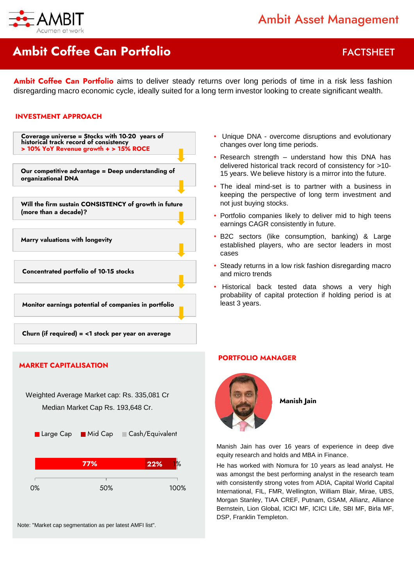

## **Ambit Coffee Can Portfolio FACTSHEET**

**Ambit Coffee Can Portfolio** aims to deliver steady returns over long periods of time in a risk less fashion disregarding macro economic cycle, ideally suited for a long term investor looking to create significant wealth.

#### **INVESTMENT APPROACH**



- Unique DNA overcome disruptions and evolutionary changes over long time periods.
- Research strength understand how this DNA has delivered historical track record of consistency for >10- 15 years. We believe history is a mirror into the future.
- The ideal mind-set is to partner with a business in keeping the perspective of long term investment and not just buying stocks.
- Portfolio companies likely to deliver mid to high teens earnings CAGR consistently in future.
- B2C sectors (like consumption, banking) & Large established players, who are sector leaders in most cases
- Steady returns in a low risk fashion disregarding macro and micro trends
- Historical back tested data shows a very high probability of capital protection if holding period is at least 3 years.

#### **PORTFOLIO MANAGER**



**Manish Jain**

Manish Jain has over 16 years of experience in deep dive equity research and holds and MBA in Finance.

He has worked with Nomura for 10 years as lead analyst. He was amongst the best performing analyst in the research team with consistently strong votes from ADIA, Capital World Capital International, FIL, FMR, Wellington, William Blair, Mirae, UBS, Morgan Stanley, TIAA CREF, Putnam, GSAM, Allianz, Alliance Bernstein, Lion Global, ICICI MF, ICICI Life, SBI MF, Birla MF, DSP, Franklin Templeton.

#### **MARKET CAPITALISATION**

Weighted Average Market cap: Rs. 335,081 Cr Median Market Cap Rs. 193,648 Cr.



Note: "Market cap segmentation as per latest AMFI list".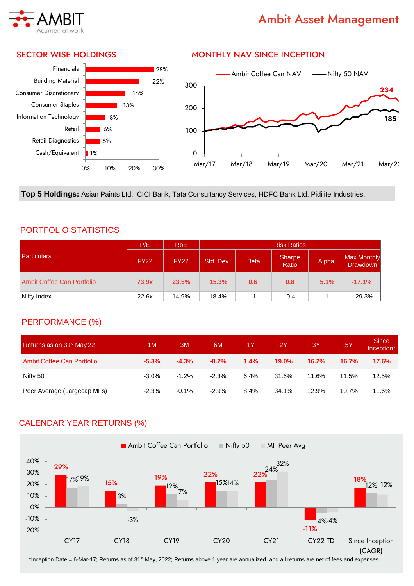

## Ambit Asset Management

#### SECTOR WISE HOLDINGS



#### MONTHLY NAV SINCE INCEPTION



**Top 5 Holdings:** Asian Paints Ltd, ICICI Bank, Tata Consultancy Services, HDFC Bank Ltd, Pidilite Industries,

#### PORTFOLIO STATISTICS

|                            | P/E         | RoE         | <b>Risk Ratios</b> |             |                 |       |                                |  |
|----------------------------|-------------|-------------|--------------------|-------------|-----------------|-------|--------------------------------|--|
| <b>Particulars</b>         | <b>FY22</b> | <b>FY22</b> | Std. Dev.          | <b>Beta</b> | Sharpe<br>Ratio | Alpha | Max Monthly<br><b>Drawdown</b> |  |
| Ambit Coffee Can Portfolio | 73.9x       | 23.5%       | 15.3%              | 0.6         | 0.8             | 5.1%  | $-17.1%$                       |  |
| Nifty Index                | 22.6x       | 14.9%       | 18.4%              |             | 0.4             |       | $-29.3%$                       |  |

#### PERFORMANCE (%)

| Returns as on 31 <sup>st</sup> May'22 | 1M       | ЗM      | 6M       | 1Y   | 2Y           | 3Y    | <b>5Y</b> | <b>Since</b><br>Inception* |
|---------------------------------------|----------|---------|----------|------|--------------|-------|-----------|----------------------------|
| Ambit Coffee Can Portfolio            | $-5.3\%$ | $-4.3%$ | $-8.2\%$ | 1.4% | <b>19.0%</b> | 16.2% | 16.7%     | 17.6%                      |
| Nifty 50                              | $-3.0\%$ | $-1.2%$ | $-2.3%$  | 6.4% | 31.6%        | 11.6% | 11.5%     | 12.5%                      |
| Peer Average (Largecap MFs)           | $-2.3%$  | $-0.1%$ | $-2.9%$  | 8.4% | 34.1%        | 12.9% | 10.7%     | 11.6%                      |

### CALENDAR YEAR RETURNS (%)



\*Inception Date = 6-Mar-17; Returns as of 31st May, 2022; Returns above 1 year are annualized and all returns are net of fees and expenses